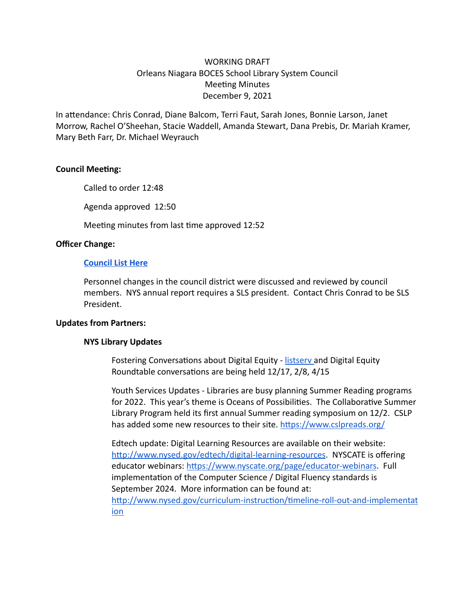# WORKING DRAFT Orleans Niagara BOCES School Library System Council **Meeting Minutes** December 9, 2021

In attendance: Chris Conrad, Diane Balcom, Terri Faut, Sarah Jones, Bonnie Larson, Janet Morrow, Rachel O'Sheehan, Stacie Waddell, Amanda Stewart, Dana Prebis, Dr. Mariah Kramer, Mary Beth Farr, Dr. Michael Weyrauch

# **Council Meeting:**

Called to order 12:48

Agenda approved 12:50

Meeting minutes from last time approved 12:52

# **Officer Change:**

# **[Council List Here](https://docs.google.com/document/d/1REQc7-0M7QzukqClLJGwRpfTJeyA7db5/edit?usp=sharing&ouid=115198898868515443770&rtpof=true&sd=true)**

Personnel changes in the council district were discussed and reviewed by council members. NYS annual report requires a SLS president. Contact Chris Conrad to be SLS President.

# **Updates from Partners:**

# **NYS Library Updates**

Fostering Conversations about Digital Equity - listsery and Digital Equity Roundtable conversations are being held 12/17, 2/8, 4/15

Youth Services Updates - Libraries are busy planning Summer Reading programs for 2022. This year's theme is Oceans of Possibilities. The Collaborative Summer Library Program held its first annual Summer reading symposium on 12/2. CSLP has added some new resources to their site. https://www.cslpreads.org/

Edtech update: Digital Learning Resources are available on their website: http://www.nysed.gov/edtech/digital-learning-resources. NYSCATE is offering educator webinars: https://www.nyscate.org/page/educator-webinars. Full implementation of the Computer Science / Digital Fluency standards is September 2024. More information can be found at: http://www.nysed.gov/curriculum-instruction/timeline-roll-out-and-implementat [ion](http://www.nysed.gov/curriculum-instruction/timeline-roll-out-and-implementation)